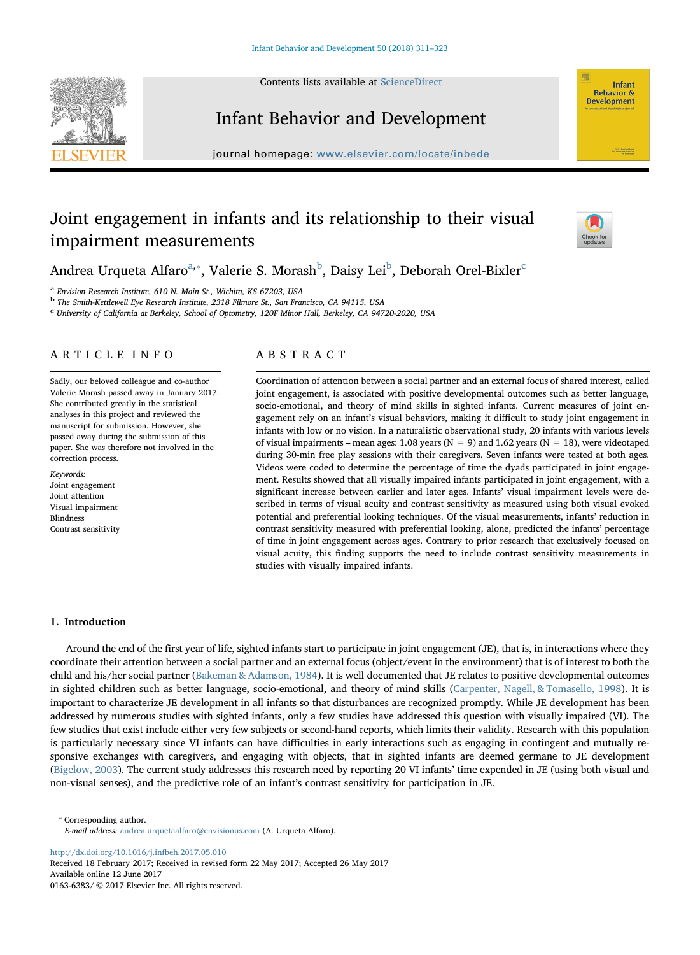Contents lists available at [ScienceDirect](http://www.sciencedirect.com/science/journal/01636383)





## Infant Behavior and Development

journal homepage: [www.elsevier.com/locate/inbede](http://www.elsevier.com/locate/inbede)

# Joint engagement in infants and its relationship to their visual impairment measurements



Andre[a](#page-0-0) Urqueta Alfaro<sup>a,\*</sup>, Valerie S. Morash<sup>[b](#page-0-2)</sup>, Daisy Lei<sup>b</sup>, Deborah Orel-Bixler<sup>[c](#page-0-3)</sup>

<span id="page-0-0"></span><sup>a</sup> Envision Research Institute, 610 N. Main St., Wichita, KS 67203, USA

<span id="page-0-2"></span><sup>b</sup> The Smith-Kettlewell Eye Research Institute, 2318 Filmore St., San Francisco, CA 94115, USA

<span id="page-0-3"></span><sup>c</sup> University of California at Berkeley, School of Optometry, 120F Minor Hall, Berkeley, CA 94720-2020, USA

## ARTICLE INFO

Sadly, our beloved colleague and co-author Valerie Morash passed away in January 2017. She contributed greatly in the statistical analyses in this project and reviewed the manuscript for submission. However, she passed away during the submission of this paper. She was therefore not involved in the correction process.

Keywords: Joint engagement Joint attention Visual impairment Blindness Contrast sensitivity

## ABSTRACT

Coordination of attention between a social partner and an external focus of shared interest, called joint engagement, is associated with positive developmental outcomes such as better language, socio-emotional, and theory of mind skills in sighted infants. Current measures of joint engagement rely on an infant's visual behaviors, making it difficult to study joint engagement in infants with low or no vision. In a naturalistic observational study, 20 infants with various levels of visual impairments – mean ages: 1.08 years ( $N = 9$ ) and 1.62 years ( $N = 18$ ), were videotaped during 30-min free play sessions with their caregivers. Seven infants were tested at both ages. Videos were coded to determine the percentage of time the dyads participated in joint engagement. Results showed that all visually impaired infants participated in joint engagement, with a significant increase between earlier and later ages. Infants' visual impairment levels were described in terms of visual acuity and contrast sensitivity as measured using both visual evoked potential and preferential looking techniques. Of the visual measurements, infants' reduction in contrast sensitivity measured with preferential looking, alone, predicted the infants' percentage of time in joint engagement across ages. Contrary to prior research that exclusively focused on visual acuity, this finding supports the need to include contrast sensitivity measurements in studies with visually impaired infants.

## 1. Introduction

Around the end of the first year of life, sighted infants start to participate in joint engagement (JE), that is, in interactions where they coordinate their attention between a social partner and an external focus (object/event in the environment) that is of interest to both the child and his/her social partner [\(Bakeman & Adamson, 1984\)](#page-11-0). It is well documented that JE relates to positive developmental outcomes in sighted children such as better language, socio-emotional, and theory of mind skills ([Carpenter, Nagell, & Tomasello, 1998](#page-11-1)). It is important to characterize JE development in all infants so that disturbances are recognized promptly. While JE development has been addressed by numerous studies with sighted infants, only a few studies have addressed this question with visually impaired (VI). The few studies that exist include either very few subjects or second-hand reports, which limits their validity. Research with this population is particularly necessary since VI infants can have difficulties in early interactions such as engaging in contingent and mutually responsive exchanges with caregivers, and engaging with objects, that in sighted infants are deemed germane to JE development ([Bigelow, 2003\)](#page-11-2). The current study addresses this research need by reporting 20 VI infants' time expended in JE (using both visual and non-visual senses), and the predictive role of an infant's contrast sensitivity for participation in JE.

<span id="page-0-1"></span>⁎ Corresponding author. E-mail address: [andrea.urquetaalfaro@envisionus.com](mailto:andrea.urquetaalfaro@envisionus.com) (A. Urqueta Alfaro).

<http://dx.doi.org/10.1016/j.infbeh.2017.05.010>

Received 18 February 2017; Received in revised form 22 May 2017; Accepted 26 May 2017 Available online 12 June 2017 0163-6383/ © 2017 Elsevier Inc. All rights reserved.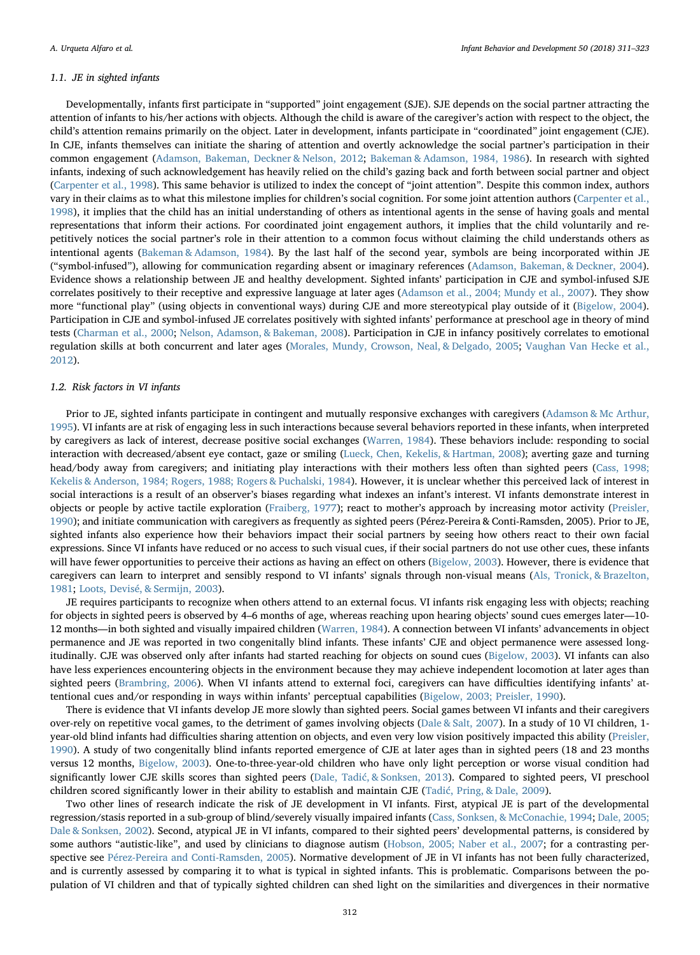## 1.1. JE in sighted infants

Developmentally, infants first participate in "supported" joint engagement (SJE). SJE depends on the social partner attracting the attention of infants to his/her actions with objects. Although the child is aware of the caregiver's action with respect to the object, the child's attention remains primarily on the object. Later in development, infants participate in "coordinated" joint engagement (CJE). In CJE, infants themselves can initiate the sharing of attention and overtly acknowledge the social partner's participation in their common engagement ([Adamson, Bakeman, Deckner & Nelson, 2012;](#page-11-3) [Bakeman & Adamson, 1984, 1986\)](#page-11-0). In research with sighted infants, indexing of such acknowledgement has heavily relied on the child's gazing back and forth between social partner and object ([Carpenter et al., 1998\)](#page-11-1). This same behavior is utilized to index the concept of "joint attention". Despite this common index, authors vary in their claims as to what this milestone implies for children's social cognition. For some joint attention authors [\(Carpenter et al.,](#page-11-1) [1998\)](#page-11-1), it implies that the child has an initial understanding of others as intentional agents in the sense of having goals and mental representations that inform their actions. For coordinated joint engagement authors, it implies that the child voluntarily and repetitively notices the social partner's role in their attention to a common focus without claiming the child understands others as intentional agents [\(Bakeman & Adamson, 1984\)](#page-11-0). By the last half of the second year, symbols are being incorporated within JE ("symbol-infused"), allowing for communication regarding absent or imaginary references [\(Adamson, Bakeman, & Deckner, 2004\)](#page-11-4). Evidence shows a relationship between JE and healthy development. Sighted infants' participation in CJE and symbol-infused SJE correlates positively to their receptive and expressive language at later ages [\(Adamson et al., 2004; Mundy et al., 2007](#page-11-4)). They show more "functional play" (using objects in conventional ways) during CJE and more stereotypical play outside of it ([Bigelow, 2004\)](#page-11-5). Participation in CJE and symbol-infused JE correlates positively with sighted infants' performance at preschool age in theory of mind tests [\(Charman et al., 2000](#page-11-6); [Nelson, Adamson, & Bakeman, 2008](#page-12-0)). Participation in CJE in infancy positively correlates to emotional regulation skills at both concurrent and later ages [\(Morales, Mundy, Crowson, Neal, & Delgado, 2005;](#page-12-1) [Vaughan Van Hecke et al.,](#page-12-2) [2012\)](#page-12-2).

#### 1.2. Risk factors in VI infants

Prior to JE, sighted infants participate in contingent and mutually responsive exchanges with caregivers ([Adamson & Mc Arthur,](#page-11-7) [1995\)](#page-11-7). VI infants are at risk of engaging less in such interactions because several behaviors reported in these infants, when interpreted by caregivers as lack of interest, decrease positive social exchanges [\(Warren, 1984](#page-12-3)). These behaviors include: responding to social interaction with decreased/absent eye contact, gaze or smiling [\(Lueck, Chen, Kekelis, & Hartman, 2008\)](#page-12-4); averting gaze and turning head/body away from caregivers; and initiating play interactions with their mothers less often than sighted peers ([Cass, 1998;](#page-11-8) [Kekelis & Anderson, 1984; Rogers, 1988; Rogers & Puchalski, 1984](#page-11-8)). However, it is unclear whether this perceived lack of interest in social interactions is a result of an observer's biases regarding what indexes an infant's interest. VI infants demonstrate interest in objects or people by active tactile exploration [\(Fraiberg, 1977\)](#page-11-9); react to mother's approach by increasing motor activity [\(Preisler,](#page-12-5) [1990\)](#page-12-5); and initiate communication with caregivers as frequently as sighted peers (Pérez-Pereira & Conti-Ramsden, 2005). Prior to JE, sighted infants also experience how their behaviors impact their social partners by seeing how others react to their own facial expressions. Since VI infants have reduced or no access to such visual cues, if their social partners do not use other cues, these infants will have fewer opportunities to perceive their actions as having an effect on others [\(Bigelow, 2003\)](#page-11-2). However, there is evidence that caregivers can learn to interpret and sensibly respond to VI infants' signals through non-visual means [\(Als, Tronick, & Brazelton,](#page-11-10) [1981;](#page-11-10) [Loots, Devisé, & Sermijn, 2003\)](#page-11-11).

JE requires participants to recognize when others attend to an external focus. VI infants risk engaging less with objects; reaching for objects in sighted peers is observed by 4–6 months of age, whereas reaching upon hearing objects' sound cues emerges later—10- 12 months—in both sighted and visually impaired children [\(Warren, 1984](#page-12-3)). A connection between VI infants' advancements in object permanence and JE was reported in two congenitally blind infants. These infants' CJE and object permanence were assessed longitudinally. CJE was observed only after infants had started reaching for objects on sound cues [\(Bigelow, 2003](#page-11-2)). VI infants can also have less experiences encountering objects in the environment because they may achieve independent locomotion at later ages than sighted peers [\(Brambring, 2006](#page-11-12)). When VI infants attend to external foci, caregivers can have difficulties identifying infants' attentional cues and/or responding in ways within infants' perceptual capabilities ([Bigelow, 2003; Preisler, 1990](#page-11-2)).

There is evidence that VI infants develop JE more slowly than sighted peers. Social games between VI infants and their caregivers over-rely on repetitive vocal games, to the detriment of games involving objects ([Dale & Salt, 2007](#page-11-13)). In a study of 10 VI children, 1 year-old blind infants had difficulties sharing attention on objects, and even very low vision positively impacted this ability [\(Preisler,](#page-12-5) [1990\)](#page-12-5). A study of two congenitally blind infants reported emergence of CJE at later ages than in sighted peers (18 and 23 months versus 12 months, [Bigelow, 2003\)](#page-11-2). One-to-three-year-old children who have only light perception or worse visual condition had significantly lower CJE skills scores than sighted peers (Dale, Tadić[, & Sonksen, 2013\)](#page-11-14). Compared to sighted peers, VI preschool children scored significantly lower in their ability to establish and maintain CJE (Tadić[, Pring, & Dale, 2009](#page-12-6)).

Two other lines of research indicate the risk of JE development in VI infants. First, atypical JE is part of the developmental regression/stasis reported in a sub-group of blind/severely visually impaired infants [\(Cass, Sonksen, & McConachie, 1994;](#page-11-15) [Dale, 2005;](#page-11-16) [Dale & Sonksen, 2002](#page-11-16)). Second, atypical JE in VI infants, compared to their sighted peers' developmental patterns, is considered by some authors "autistic-like", and used by clinicians to diagnose autism [\(Hobson, 2005; Naber et al., 2007;](#page-11-17) for a contrasting perspective see [Pérez-Pereira and Conti-Ramsden, 2005](#page-12-7)). Normative development of JE in VI infants has not been fully characterized, and is currently assessed by comparing it to what is typical in sighted infants. This is problematic. Comparisons between the population of VI children and that of typically sighted children can shed light on the similarities and divergences in their normative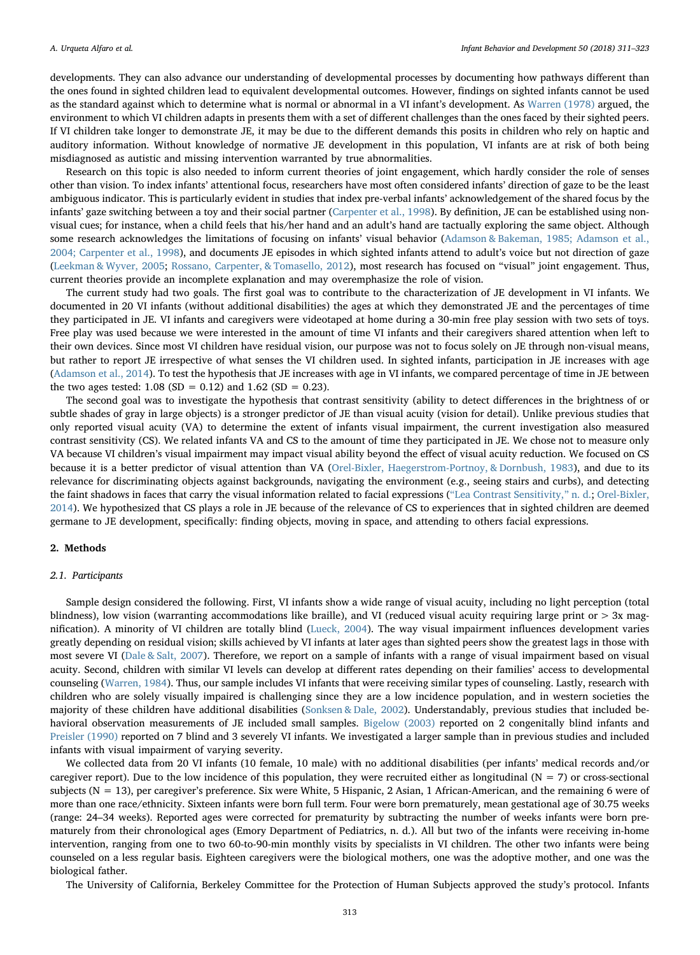developments. They can also advance our understanding of developmental processes by documenting how pathways different than the ones found in sighted children lead to equivalent developmental outcomes. However, findings on sighted infants cannot be used as the standard against which to determine what is normal or abnormal in a VI infant's development. As [Warren \(1978\)](#page-12-8) argued, the environment to which VI children adapts in presents them with a set of different challenges than the ones faced by their sighted peers. If VI children take longer to demonstrate JE, it may be due to the different demands this posits in children who rely on haptic and auditory information. Without knowledge of normative JE development in this population, VI infants are at risk of both being misdiagnosed as autistic and missing intervention warranted by true abnormalities.

Research on this topic is also needed to inform current theories of joint engagement, which hardly consider the role of senses other than vision. To index infants' attentional focus, researchers have most often considered infants' direction of gaze to be the least ambiguous indicator. This is particularly evident in studies that index pre-verbal infants' acknowledgement of the shared focus by the infants' gaze switching between a toy and their social partner ([Carpenter et al., 1998](#page-11-1)). By definition, JE can be established using nonvisual cues; for instance, when a child feels that his/her hand and an adult's hand are tactually exploring the same object. Although some research acknowledges the limitations of focusing on infants' visual behavior [\(Adamson & Bakeman, 1985; Adamson et al.,](#page-11-18) [2004; Carpenter et al., 1998\)](#page-11-18), and documents JE episodes in which sighted infants attend to adult's voice but not direction of gaze ([Leekman & Wyver, 2005](#page-11-19); [Rossano, Carpenter, & Tomasello, 2012](#page-12-9)), most research has focused on "visual" joint engagement. Thus, current theories provide an incomplete explanation and may overemphasize the role of vision.

The current study had two goals. The first goal was to contribute to the characterization of JE development in VI infants. We documented in 20 VI infants (without additional disabilities) the ages at which they demonstrated JE and the percentages of time they participated in JE. VI infants and caregivers were videotaped at home during a 30-min free play session with two sets of toys. Free play was used because we were interested in the amount of time VI infants and their caregivers shared attention when left to their own devices. Since most VI children have residual vision, our purpose was not to focus solely on JE through non-visual means, but rather to report JE irrespective of what senses the VI children used. In sighted infants, participation in JE increases with age ([Adamson et al., 2014\)](#page-11-20). To test the hypothesis that JE increases with age in VI infants, we compared percentage of time in JE between the two ages tested:  $1.08$  (SD = 0.12) and  $1.62$  (SD = 0.23).

The second goal was to investigate the hypothesis that contrast sensitivity (ability to detect differences in the brightness of or subtle shades of gray in large objects) is a stronger predictor of JE than visual acuity (vision for detail). Unlike previous studies that only reported visual acuity (VA) to determine the extent of infants visual impairment, the current investigation also measured contrast sensitivity (CS). We related infants VA and CS to the amount of time they participated in JE. We chose not to measure only VA because VI children's visual impairment may impact visual ability beyond the effect of visual acuity reduction. We focused on CS because it is a better predictor of visual attention than VA [\(Orel-Bixler, Haegerstrom-Portnoy, & Dornbush, 1983](#page-12-10)), and due to its relevance for discriminating objects against backgrounds, navigating the environment (e.g., seeing stairs and curbs), and detecting the faint shadows in faces that carry the visual information related to facial expressions ("[Lea Contrast Sensitivity,](#page-11-21)" n. d.; [Orel-Bixler,](#page-12-11) [2014\)](#page-12-11). We hypothesized that CS plays a role in JE because of the relevance of CS to experiences that in sighted children are deemed germane to JE development, specifically: finding objects, moving in space, and attending to others facial expressions.

## 2. Methods

## 2.1. Participants

Sample design considered the following. First, VI infants show a wide range of visual acuity, including no light perception (total blindness), low vision (warranting accommodations like braille), and VI (reduced visual acuity requiring large print or > 3x magnification). A minority of VI children are totally blind ([Lueck, 2004\)](#page-12-12). The way visual impairment influences development varies greatly depending on residual vision; skills achieved by VI infants at later ages than sighted peers show the greatest lags in those with most severe VI [\(Dale & Salt, 2007](#page-11-13)). Therefore, we report on a sample of infants with a range of visual impairment based on visual acuity. Second, children with similar VI levels can develop at different rates depending on their families' access to developmental counseling ([Warren, 1984\)](#page-12-3). Thus, our sample includes VI infants that were receiving similar types of counseling. Lastly, research with children who are solely visually impaired is challenging since they are a low incidence population, and in western societies the majority of these children have additional disabilities ([Sonksen & Dale, 2002](#page-12-13)). Understandably, previous studies that included behavioral observation measurements of JE included small samples. [Bigelow \(2003\)](#page-11-2) reported on 2 congenitally blind infants and [Preisler \(1990\)](#page-12-5) reported on 7 blind and 3 severely VI infants. We investigated a larger sample than in previous studies and included infants with visual impairment of varying severity.

We collected data from 20 VI infants (10 female, 10 male) with no additional disabilities (per infants' medical records and/or caregiver report). Due to the low incidence of this population, they were recruited either as longitudinal ( $N = 7$ ) or cross-sectional subjects (N = 13), per caregiver's preference. Six were White, 5 Hispanic, 2 Asian, 1 African-American, and the remaining 6 were of more than one race/ethnicity. Sixteen infants were born full term. Four were born prematurely, mean gestational age of 30.75 weeks (range: 24–34 weeks). Reported ages were corrected for prematurity by subtracting the number of weeks infants were born prematurely from their chronological ages (Emory Department of Pediatrics, n. d.). All but two of the infants were receiving in-home intervention, ranging from one to two 60-to-90-min monthly visits by specialists in VI children. The other two infants were being counseled on a less regular basis. Eighteen caregivers were the biological mothers, one was the adoptive mother, and one was the biological father.

The University of California, Berkeley Committee for the Protection of Human Subjects approved the study's protocol. Infants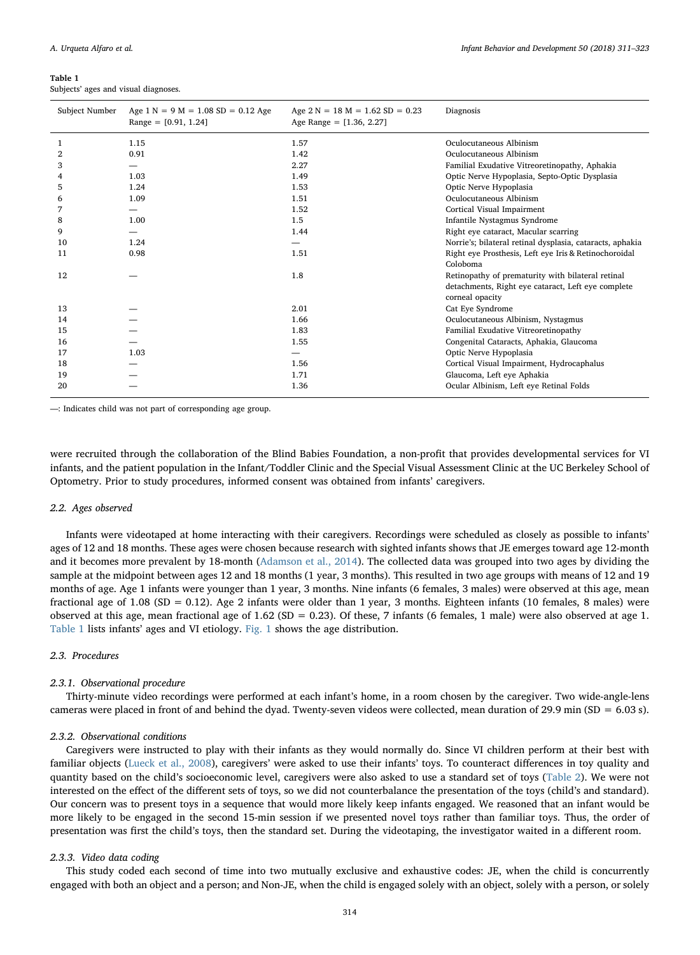#### <span id="page-3-0"></span>Table 1

Subjects' ages and visual diagnoses.

| Subject Number | Age $1 N = 9 M = 1.08 SD = 0.12 Age$<br>Range = $[0.91, 1.24]$ | Age $2 N = 18 M = 1.62 SD = 0.23$<br>Age Range = $[1.36, 2.27]$ | Diagnosis                                                 |
|----------------|----------------------------------------------------------------|-----------------------------------------------------------------|-----------------------------------------------------------|
| 1              | 1.15                                                           | 1.57                                                            | Oculocutaneous Albinism                                   |
| 2              | 0.91                                                           | 1.42                                                            | Oculocutaneous Albinism                                   |
| 3              | —                                                              | 2.27                                                            | Familial Exudative Vitreoretinopathy, Aphakia             |
|                | 1.03                                                           | 1.49                                                            | Optic Nerve Hypoplasia, Septo-Optic Dysplasia             |
| 5              | 1.24                                                           | 1.53                                                            | Optic Nerve Hypoplasia                                    |
| 6              | 1.09                                                           | 1.51                                                            | Oculocutaneous Albinism                                   |
| 7              | —                                                              | 1.52                                                            | Cortical Visual Impairment                                |
| 8              | 1.00                                                           | 1.5                                                             | Infantile Nystagmus Syndrome                              |
| 9              | —                                                              | 1.44                                                            | Right eye cataract, Macular scarring                      |
| 10             | 1.24                                                           | $\overline{\phantom{0}}$                                        | Norrie's; bilateral retinal dysplasia, cataracts, aphakia |
| 11             | 0.98                                                           | 1.51                                                            | Right eye Prosthesis, Left eye Iris & Retinochoroidal     |
|                |                                                                |                                                                 | Coloboma                                                  |
| 12             |                                                                | 1.8                                                             | Retinopathy of prematurity with bilateral retinal         |
|                |                                                                |                                                                 | detachments, Right eye cataract, Left eye complete        |
|                |                                                                |                                                                 | corneal opacity                                           |
| 13             |                                                                | 2.01                                                            | Cat Eye Syndrome                                          |
| 14             |                                                                | 1.66                                                            | Oculocutaneous Albinism, Nystagmus                        |
| 15             |                                                                | 1.83                                                            | Familial Exudative Vitreoretinopathy                      |
| 16             |                                                                | 1.55                                                            | Congenital Cataracts, Aphakia, Glaucoma                   |
| 17             | 1.03                                                           | -                                                               | Optic Nerve Hypoplasia                                    |
| 18             |                                                                | 1.56                                                            | Cortical Visual Impairment, Hydrocaphalus                 |
| 19             |                                                                | 1.71                                                            | Glaucoma, Left eye Aphakia                                |
| 20             |                                                                | 1.36                                                            | Ocular Albinism, Left eye Retinal Folds                   |

—: Indicates child was not part of corresponding age group.

were recruited through the collaboration of the Blind Babies Foundation, a non-profit that provides developmental services for VI infants, and the patient population in the Infant/Toddler Clinic and the Special Visual Assessment Clinic at the UC Berkeley School of Optometry. Prior to study procedures, informed consent was obtained from infants' caregivers.

#### 2.2. Ages observed

Infants were videotaped at home interacting with their caregivers. Recordings were scheduled as closely as possible to infants' ages of 12 and 18 months. These ages were chosen because research with sighted infants shows that JE emerges toward age 12-month and it becomes more prevalent by 18-month [\(Adamson et al., 2014](#page-11-20)). The collected data was grouped into two ages by dividing the sample at the midpoint between ages 12 and 18 months (1 year, 3 months). This resulted in two age groups with means of 12 and 19 months of age. Age 1 infants were younger than 1 year, 3 months. Nine infants (6 females, 3 males) were observed at this age, mean fractional age of 1.08 (SD = 0.12). Age 2 infants were older than 1 year, 3 months. Eighteen infants (10 females, 8 males) were observed at this age, mean fractional age of  $1.62$  (SD = 0.23). Of these, 7 infants (6 females, 1 male) were also observed at age 1. [Table 1](#page-3-0) lists infants' ages and VI etiology. [Fig. 1](#page-4-0) shows the age distribution.

## 2.3. Procedures

#### 2.3.1. Observational procedure

Thirty-minute video recordings were performed at each infant's home, in a room chosen by the caregiver. Two wide-angle-lens cameras were placed in front of and behind the dyad. Twenty-seven videos were collected, mean duration of 29.9 min (SD =  $6.03$  s).

## 2.3.2. Observational conditions

Caregivers were instructed to play with their infants as they would normally do. Since VI children perform at their best with familiar objects ([Lueck et al., 2008](#page-12-4)), caregivers' were asked to use their infants' toys. To counteract differences in toy quality and quantity based on the child's socioeconomic level, caregivers were also asked to use a standard set of toys [\(Table 2\)](#page-4-1). We were not interested on the effect of the different sets of toys, so we did not counterbalance the presentation of the toys (child's and standard). Our concern was to present toys in a sequence that would more likely keep infants engaged. We reasoned that an infant would be more likely to be engaged in the second 15-min session if we presented novel toys rather than familiar toys. Thus, the order of presentation was first the child's toys, then the standard set. During the videotaping, the investigator waited in a different room.

#### 2.3.3. Video data coding

This study coded each second of time into two mutually exclusive and exhaustive codes: JE, when the child is concurrently engaged with both an object and a person; and Non-JE, when the child is engaged solely with an object, solely with a person, or solely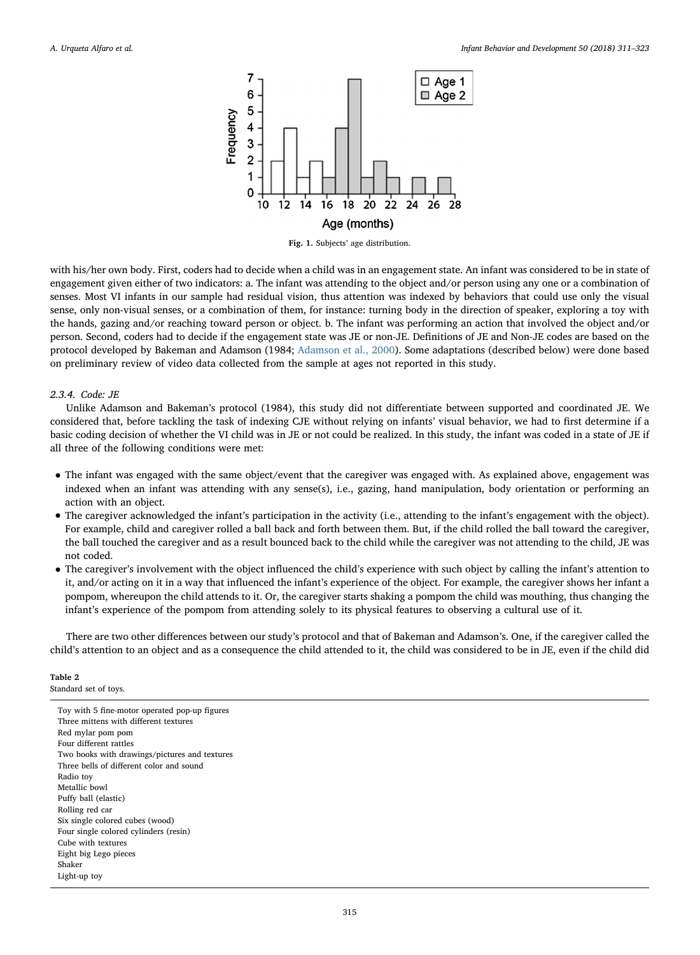<span id="page-4-0"></span>

Fig. 1. Subjects' age distribution.

with his/her own body. First, coders had to decide when a child was in an engagement state. An infant was considered to be in state of engagement given either of two indicators: a. The infant was attending to the object and/or person using any one or a combination of senses. Most VI infants in our sample had residual vision, thus attention was indexed by behaviors that could use only the visual sense, only non-visual senses, or a combination of them, for instance: turning body in the direction of speaker, exploring a toy with the hands, gazing and/or reaching toward person or object. b. The infant was performing an action that involved the object and/or person. Second, coders had to decide if the engagement state was JE or non-JE. Definitions of JE and Non-JE codes are based on the protocol developed by Bakeman and Adamson (1984; [Adamson et al., 2000](#page-11-22)). Some adaptations (described below) were done based on preliminary review of video data collected from the sample at ages not reported in this study.

## 2.3.4. Code: JE

Unlike Adamson and Bakeman's protocol (1984), this study did not differentiate between supported and coordinated JE. We considered that, before tackling the task of indexing CJE without relying on infants' visual behavior, we had to first determine if a basic coding decision of whether the VI child was in JE or not could be realized. In this study, the infant was coded in a state of JE if all three of the following conditions were met:

- The infant was engaged with the same object/event that the caregiver was engaged with. As explained above, engagement was indexed when an infant was attending with any sense(s), i.e., gazing, hand manipulation, body orientation or performing an action with an object.
- The caregiver acknowledged the infant's participation in the activity (i.e., attending to the infant's engagement with the object). For example, child and caregiver rolled a ball back and forth between them. But, if the child rolled the ball toward the caregiver, the ball touched the caregiver and as a result bounced back to the child while the caregiver was not attending to the child, JE was not coded.
- The caregiver's involvement with the object influenced the child's experience with such object by calling the infant's attention to it, and/or acting on it in a way that influenced the infant's experience of the object. For example, the caregiver shows her infant a pompom, whereupon the child attends to it. Or, the caregiver starts shaking a pompom the child was mouthing, thus changing the infant's experience of the pompom from attending solely to its physical features to observing a cultural use of it.

There are two other differences between our study's protocol and that of Bakeman and Adamson's. One, if the caregiver called the child's attention to an object and as a consequence the child attended to it, the child was considered to be in JE, even if the child did

## <span id="page-4-1"></span>Table 2

Standard set of toys.

Toy with 5 fine-motor operated pop-up figures Three mittens with different textures Red mylar pom pom Four different rattles Two books with drawings/pictures and textures Three bells of different color and sound Radio toy Metallic bowl Puffy ball (elastic) Rolling red car Six single colored cubes (wood) Four single colored cylinders (resin) Cube with textures Eight big Lego pieces Shaker Light-up toy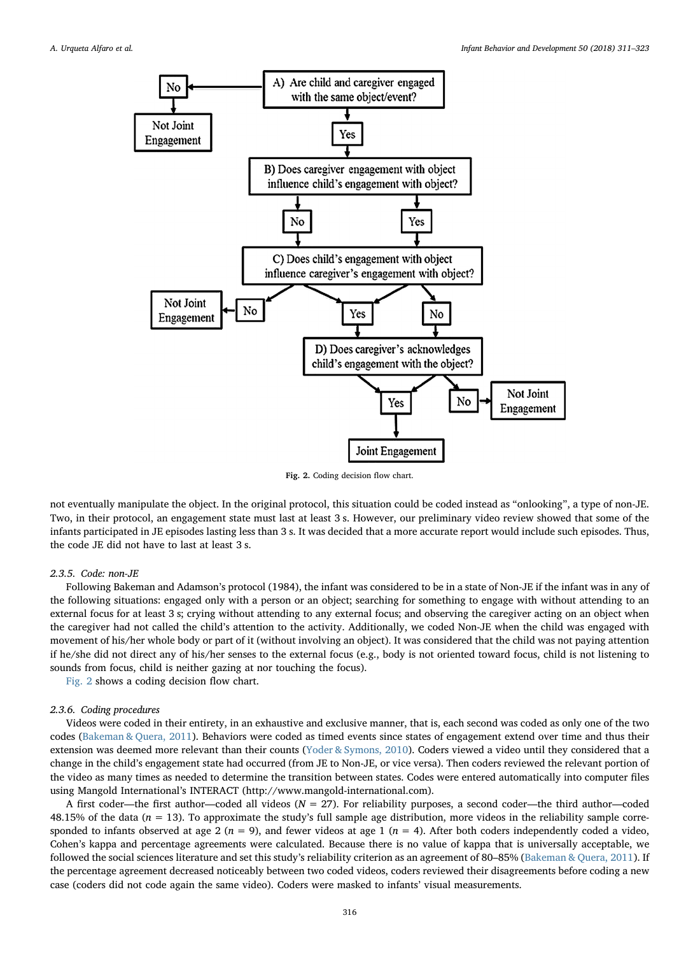<span id="page-5-0"></span>

Fig. 2. Coding decision flow chart.

not eventually manipulate the object. In the original protocol, this situation could be coded instead as "onlooking", a type of non-JE. Two, in their protocol, an engagement state must last at least 3 s. However, our preliminary video review showed that some of the infants participated in JE episodes lasting less than 3 s. It was decided that a more accurate report would include such episodes. Thus, the code JE did not have to last at least 3 s.

## 2.3.5. Code: non-JE

Following Bakeman and Adamson's protocol (1984), the infant was considered to be in a state of Non-JE if the infant was in any of the following situations: engaged only with a person or an object; searching for something to engage with without attending to an external focus for at least 3 s; crying without attending to any external focus; and observing the caregiver acting on an object when the caregiver had not called the child's attention to the activity. Additionally, we coded Non-JE when the child was engaged with movement of his/her whole body or part of it (without involving an object). It was considered that the child was not paying attention if he/she did not direct any of his/her senses to the external focus (e.g., body is not oriented toward focus, child is not listening to sounds from focus, child is neither gazing at nor touching the focus).

[Fig. 2](#page-5-0) shows a coding decision flow chart.

## 2.3.6. Coding procedures

Videos were coded in their entirety, in an exhaustive and exclusive manner, that is, each second was coded as only one of the two codes [\(Bakeman & Quera, 2011](#page-11-23)). Behaviors were coded as timed events since states of engagement extend over time and thus their extension was deemed more relevant than their counts [\(Yoder & Symons, 2010\)](#page-12-14). Coders viewed a video until they considered that a change in the child's engagement state had occurred (from JE to Non-JE, or vice versa). Then coders reviewed the relevant portion of the video as many times as needed to determine the transition between states. Codes were entered automatically into computer files using Mangold International's INTERACT (http://www.mangold-international.com).

A first coder—the first author—coded all videos ( $N = 27$ ). For reliability purposes, a second coder—the third author—coded 48.15% of the data  $(n = 13)$ . To approximate the study's full sample age distribution, more videos in the reliability sample corresponded to infants observed at age 2 ( $n = 9$ ), and fewer videos at age 1 ( $n = 4$ ). After both coders independently coded a video, Cohen's kappa and percentage agreements were calculated. Because there is no value of kappa that is universally acceptable, we followed the social sciences literature and set this study's reliability criterion as an agreement of 80–85% [\(Bakeman & Quera, 2011\)](#page-11-23). If the percentage agreement decreased noticeably between two coded videos, coders reviewed their disagreements before coding a new case (coders did not code again the same video). Coders were masked to infants' visual measurements.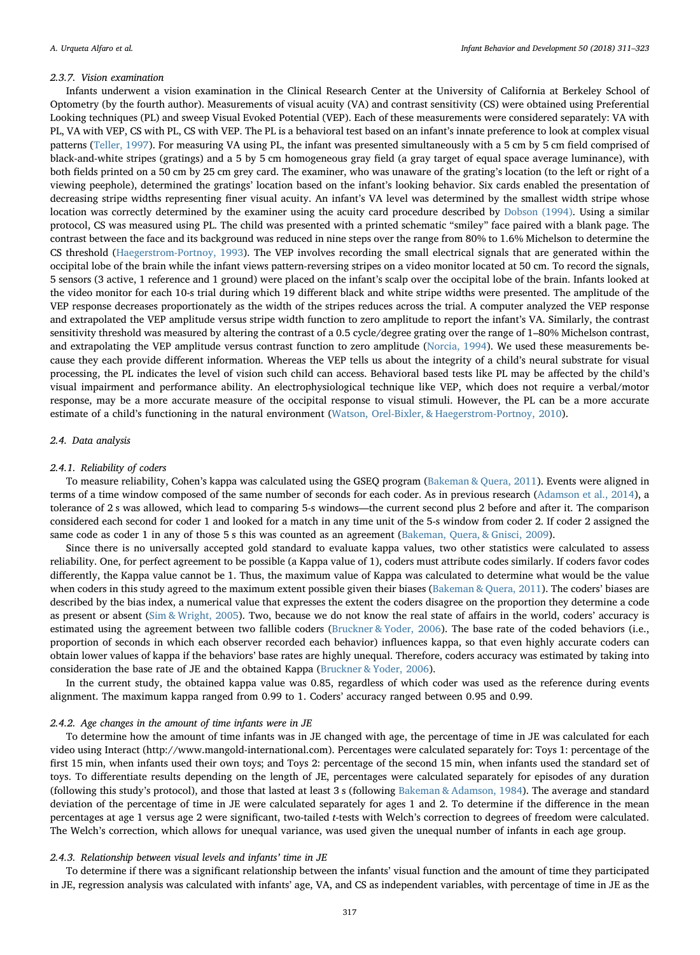#### 2.3.7. Vision examination

Infants underwent a vision examination in the Clinical Research Center at the University of California at Berkeley School of Optometry (by the fourth author). Measurements of visual acuity (VA) and contrast sensitivity (CS) were obtained using Preferential Looking techniques (PL) and sweep Visual Evoked Potential (VEP). Each of these measurements were considered separately: VA with PL, VA with VEP, CS with PL, CS with VEP. The PL is a behavioral test based on an infant's innate preference to look at complex visual patterns ([Teller, 1997\)](#page-12-15). For measuring VA using PL, the infant was presented simultaneously with a 5 cm by 5 cm field comprised of black-and-white stripes (gratings) and a 5 by 5 cm homogeneous gray field (a gray target of equal space average luminance), with both fields printed on a 50 cm by 25 cm grey card. The examiner, who was unaware of the grating's location (to the left or right of a viewing peephole), determined the gratings' location based on the infant's looking behavior. Six cards enabled the presentation of decreasing stripe widths representing finer visual acuity. An infant's VA level was determined by the smallest width stripe whose location was correctly determined by the examiner using the acuity card procedure described by [Dobson \(1994\).](#page-11-24) Using a similar protocol, CS was measured using PL. The child was presented with a printed schematic "smiley" face paired with a blank page. The contrast between the face and its background was reduced in nine steps over the range from 80% to 1.6% Michelson to determine the CS threshold [\(Haegerstrom-Portnoy, 1993](#page-11-25)). The VEP involves recording the small electrical signals that are generated within the occipital lobe of the brain while the infant views pattern-reversing stripes on a video monitor located at 50 cm. To record the signals, 5 sensors (3 active, 1 reference and 1 ground) were placed on the infant's scalp over the occipital lobe of the brain. Infants looked at the video monitor for each 10-s trial during which 19 different black and white stripe widths were presented. The amplitude of the VEP response decreases proportionately as the width of the stripes reduces across the trial. A computer analyzed the VEP response and extrapolated the VEP amplitude versus stripe width function to zero amplitude to report the infant's VA. Similarly, the contrast sensitivity threshold was measured by altering the contrast of a 0.5 cycle/degree grating over the range of 1–80% Michelson contrast, and extrapolating the VEP amplitude versus contrast function to zero amplitude [\(Norcia, 1994\)](#page-12-16). We used these measurements because they each provide different information. Whereas the VEP tells us about the integrity of a child's neural substrate for visual processing, the PL indicates the level of vision such child can access. Behavioral based tests like PL may be affected by the child's visual impairment and performance ability. An electrophysiological technique like VEP, which does not require a verbal/motor response, may be a more accurate measure of the occipital response to visual stimuli. However, the PL can be a more accurate estimate of a child's functioning in the natural environment [\(Watson, Orel-Bixler, & Haegerstrom-Portnoy, 2010](#page-12-17)).

#### 2.4. Data analysis

#### 2.4.1. Reliability of coders

To measure reliability, Cohen's kappa was calculated using the GSEQ program ([Bakeman & Quera, 2011\)](#page-11-23). Events were aligned in terms of a time window composed of the same number of seconds for each coder. As in previous research [\(Adamson et al., 2014\)](#page-11-20), a tolerance of 2 s was allowed, which lead to comparing 5-s windows—the current second plus 2 before and after it. The comparison considered each second for coder 1 and looked for a match in any time unit of the 5-s window from coder 2. If coder 2 assigned the same code as coder 1 in any of those 5 s this was counted as an agreement ([Bakeman, Quera, & Gnisci, 2009\)](#page-11-26).

Since there is no universally accepted gold standard to evaluate kappa values, two other statistics were calculated to assess reliability. One, for perfect agreement to be possible (a Kappa value of 1), coders must attribute codes similarly. If coders favor codes differently, the Kappa value cannot be 1. Thus, the maximum value of Kappa was calculated to determine what would be the value when coders in this study agreed to the maximum extent possible given their biases ([Bakeman & Quera, 2011](#page-11-23)). The coders' biases are described by the bias index, a numerical value that expresses the extent the coders disagree on the proportion they determine a code as present or absent [\(Sim & Wright, 2005\)](#page-12-18). Two, because we do not know the real state of affairs in the world, coders' accuracy is estimated using the agreement between two fallible coders [\(Bruckner & Yoder, 2006](#page-11-27)). The base rate of the coded behaviors (i.e., proportion of seconds in which each observer recorded each behavior) influences kappa, so that even highly accurate coders can obtain lower values of kappa if the behaviors' base rates are highly unequal. Therefore, coders accuracy was estimated by taking into consideration the base rate of JE and the obtained Kappa [\(Bruckner & Yoder, 2006\)](#page-11-27).

In the current study, the obtained kappa value was 0.85, regardless of which coder was used as the reference during events alignment. The maximum kappa ranged from 0.99 to 1. Coders' accuracy ranged between 0.95 and 0.99.

#### 2.4.2. Age changes in the amount of time infants were in JE

To determine how the amount of time infants was in JE changed with age, the percentage of time in JE was calculated for each video using Interact (http://www.mangold-international.com). Percentages were calculated separately for: Toys 1: percentage of the first 15 min, when infants used their own toys; and Toys 2: percentage of the second 15 min, when infants used the standard set of toys. To differentiate results depending on the length of JE, percentages were calculated separately for episodes of any duration (following this study's protocol), and those that lasted at least 3 s (following [Bakeman & Adamson, 1984](#page-11-0)). The average and standard deviation of the percentage of time in JE were calculated separately for ages 1 and 2. To determine if the difference in the mean percentages at age 1 versus age 2 were significant, two-tailed t-tests with Welch's correction to degrees of freedom were calculated. The Welch's correction, which allows for unequal variance, was used given the unequal number of infants in each age group.

#### 2.4.3. Relationship between visual levels and infants' time in JE

To determine if there was a significant relationship between the infants' visual function and the amount of time they participated in JE, regression analysis was calculated with infants' age, VA, and CS as independent variables, with percentage of time in JE as the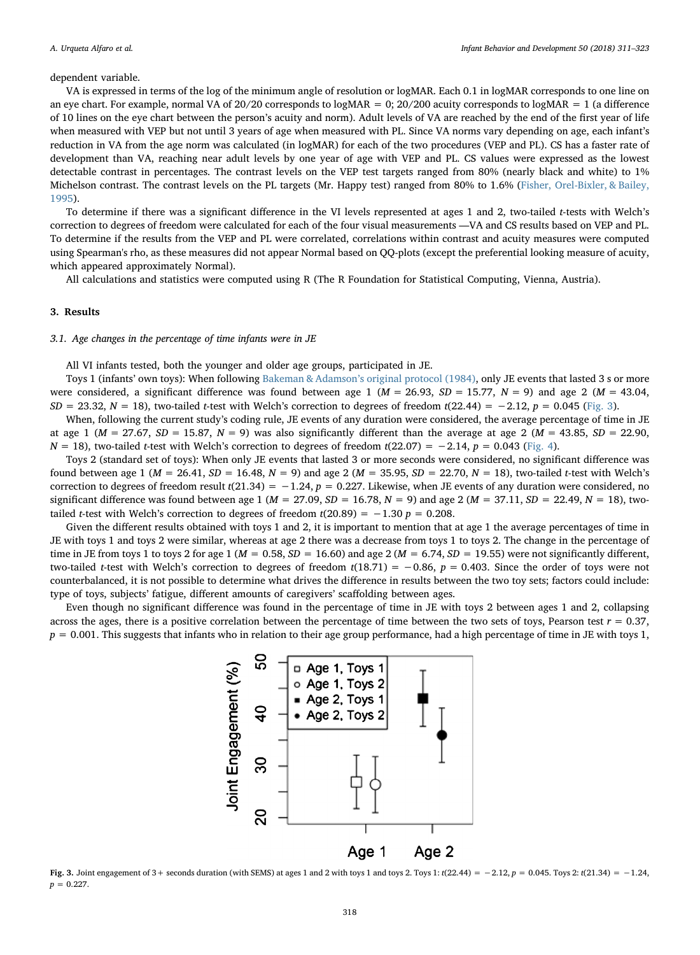#### dependent variable.

VA is expressed in terms of the log of the minimum angle of resolution or logMAR. Each 0.1 in logMAR corresponds to one line on an eye chart. For example, normal VA of  $20/20$  corresponds to logMAR = 0;  $20/200$  acuity corresponds to logMAR = 1 (a difference of 10 lines on the eye chart between the person's acuity and norm). Adult levels of VA are reached by the end of the first year of life when measured with VEP but not until 3 years of age when measured with PL. Since VA norms vary depending on age, each infant's reduction in VA from the age norm was calculated (in logMAR) for each of the two procedures (VEP and PL). CS has a faster rate of development than VA, reaching near adult levels by one year of age with VEP and PL. CS values were expressed as the lowest detectable contrast in percentages. The contrast levels on the VEP test targets ranged from 80% (nearly black and white) to 1% Michelson contrast. The contrast levels on the PL targets (Mr. Happy test) ranged from 80% to 1.6% [\(Fisher, Orel-Bixler, & Bailey,](#page-11-28) [1995\)](#page-11-28).

To determine if there was a significant difference in the VI levels represented at ages 1 and 2, two-tailed t-tests with Welch's correction to degrees of freedom were calculated for each of the four visual measurements —VA and CS results based on VEP and PL. To determine if the results from the VEP and PL were correlated, correlations within contrast and acuity measures were computed using Spearman's rho, as these measures did not appear Normal based on QQ-plots (except the preferential looking measure of acuity, which appeared approximately Normal).

All calculations and statistics were computed using R (The R Foundation for Statistical Computing, Vienna, Austria).

## 3. Results

## 3.1. Age changes in the percentage of time infants were in JE

All VI infants tested, both the younger and older age groups, participated in JE.

Toys 1 (infants' own toys): When following Bakeman & Adamson'[s original protocol \(1984\)](#page-11-0), only JE events that lasted 3 s or more were considered, a significant difference was found between age 1 ( $M = 26.93$ ,  $SD = 15.77$ ,  $N = 9$ ) and age 2 ( $M = 43.04$ ,  $SD = 23.32$ ,  $N = 18$ ), two-tailed t-test with Welch's correction to degrees of freedom t(22.44) = −2.12, p = 0.045 ([Fig. 3\)](#page-7-0).

When, following the current study's coding rule, JE events of any duration were considered, the average percentage of time in JE at age 1 ( $M = 27.67$ ,  $SD = 15.87$ ,  $N = 9$ ) was also significantly different than the average at age 2 ( $M = 43.85$ ,  $SD = 22.90$ ,  $N = 18$ ), two-tailed t-test with Welch's correction to degrees of freedom t(22.07) = −2.14, p = 0.043 [\(Fig. 4](#page-8-0)).

Toys 2 (standard set of toys): When only JE events that lasted 3 or more seconds were considered, no significant difference was found between age 1 ( $M = 26.41$ ,  $SD = 16.48$ ,  $N = 9$ ) and age 2 ( $M = 35.95$ ,  $SD = 22.70$ ,  $N = 18$ ), two-tailed t-test with Welch's correction to degrees of freedom result  $t(21.34) = -1.24$ ,  $p = 0.227$ . Likewise, when JE events of any duration were considered, no significant difference was found between age 1 ( $M = 27.09$ ,  $SD = 16.78$ ,  $N = 9$ ) and age 2 ( $M = 37.11$ ,  $SD = 22.49$ ,  $N = 18$ ), twotailed t-test with Welch's correction to degrees of freedom  $t(20.89) = -1.30 p = 0.208$ .

Given the different results obtained with toys 1 and 2, it is important to mention that at age 1 the average percentages of time in JE with toys 1 and toys 2 were similar, whereas at age 2 there was a decrease from toys 1 to toys 2. The change in the percentage of time in JE from toys 1 to toys 2 for age 1 ( $M = 0.58$ ,  $SD = 16.60$ ) and age 2 ( $M = 6.74$ ,  $SD = 19.55$ ) were not significantly different, two-tailed t-test with Welch's correction to degrees of freedom  $t(18.71) = -0.86$ ,  $p = 0.403$ . Since the order of toys were not counterbalanced, it is not possible to determine what drives the difference in results between the two toy sets; factors could include: type of toys, subjects' fatigue, different amounts of caregivers' scaffolding between ages.

<span id="page-7-0"></span>Even though no significant difference was found in the percentage of time in JE with toys 2 between ages 1 and 2, collapsing across the ages, there is a positive correlation between the percentage of time between the two sets of toys, Pearson test  $r = 0.37$ ,  $p = 0.001$ . This suggests that infants who in relation to their age group performance, had a high percentage of time in JE with toys 1,



Fig. 3. Joint engagement of 3+ seconds duration (with SEMS) at ages 1 and 2 with toys 1 and toys 2. Toys 1: t(22.44) = -2.12, p = 0.045. Toys 2: t(21.34) = -1.24,  $p = 0.227$ .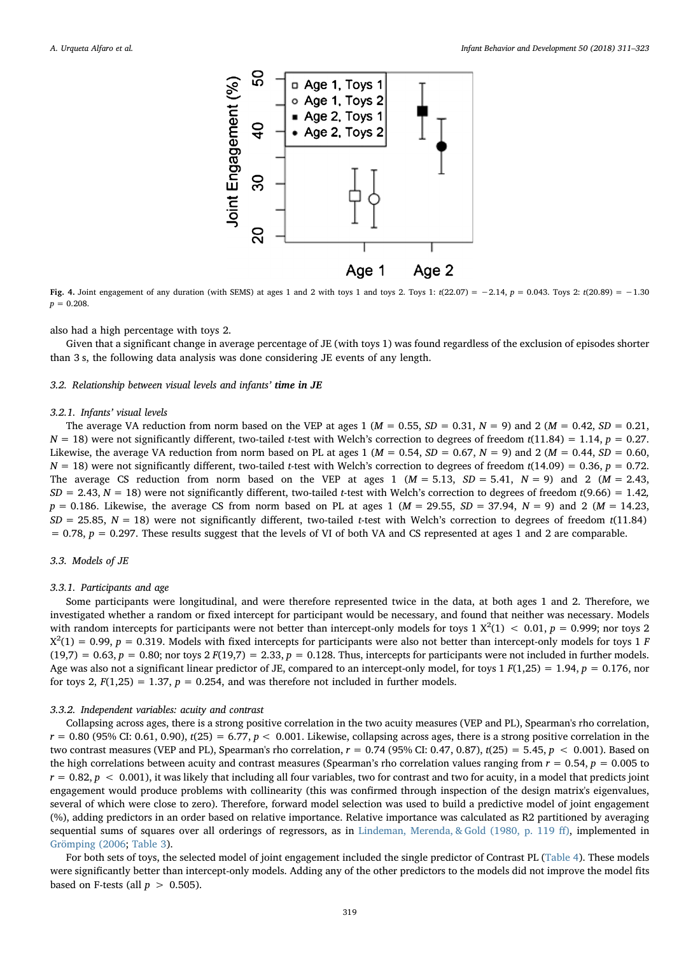<span id="page-8-0"></span>

**Fig. 4.** Joint engagement of any duration (with SEMS) at ages 1 and 2 with toys 1 and toys 2. Toys 1: t(22.07) = -2.14, p = 0.043. Toys 2: t(20.89) = -1.30  $p = 0.208$ .

also had a high percentage with toys 2.

Given that a significant change in average percentage of JE (with toys 1) was found regardless of the exclusion of episodes shorter than 3 s, the following data analysis was done considering JE events of any length.

## 3.2. Relationship between visual levels and infants' time in JE

#### 3.2.1. Infants' visual levels

The average VA reduction from norm based on the VEP at ages 1 ( $M = 0.55$ ,  $SD = 0.31$ ,  $N = 9$ ) and 2 ( $M = 0.42$ ,  $SD = 0.21$ ,  $N = 18$ ) were not significantly different, two-tailed *t*-test with Welch's correction to degrees of freedom  $t(11.84) = 1.14$ ,  $p = 0.27$ . Likewise, the average VA reduction from norm based on PL at ages 1 ( $M = 0.54$ ,  $SD = 0.67$ ,  $N = 9$ ) and 2 ( $M = 0.44$ ,  $SD = 0.60$ ,  $N = 18$ ) were not significantly different, two-tailed *t*-test with Welch's correction to degrees of freedom  $t(14.09) = 0.36$ ,  $p = 0.72$ . The average CS reduction from norm based on the VEP at ages 1 ( $M = 5.13$ ,  $SD = 5.41$ ,  $N = 9$ ) and 2 ( $M = 2.43$ ,  $SD = 2.43$ ,  $N = 18$ ) were not significantly different, two-tailed t-test with Welch's correction to degrees of freedom t(9.66) = 1.42,  $p = 0.186$ . Likewise, the average CS from norm based on PL at ages 1 ( $M = 29.55$ ,  $SD = 37.94$ ,  $N = 9$ ) and 2 ( $M = 14.23$ ,  $SD = 25.85$ ,  $N = 18$ ) were not significantly different, two-tailed t-test with Welch's correction to degrees of freedom t(11.84)  $= 0.78$ ,  $p = 0.297$ . These results suggest that the levels of VI of both VA and CS represented at ages 1 and 2 are comparable.

#### 3.3. Models of JE

#### 3.3.1. Participants and age

Some participants were longitudinal, and were therefore represented twice in the data, at both ages 1 and 2. Therefore, we investigated whether a random or fixed intercept for participant would be necessary, and found that neither was necessary. Models with random intercepts for participants were not better than intercept-only models for toys  $1 \text{ X}^2(1) < 0.01$ ,  $p = 0.999$ ; nor toys 2  $X^2(1) = 0.99$ ,  $p = 0.319$ . Models with fixed intercepts for participants were also not better than intercept-only models for toys 1 F  $(19,7) = 0.63$ ,  $p = 0.80$ ; nor toys  $2 F(19,7) = 2.33$ ,  $p = 0.128$ . Thus, intercepts for participants were not included in further models. Age was also not a significant linear predictor of JE, compared to an intercept-only model, for toys  $1 F(1,25) = 1.94$ ,  $p = 0.176$ , nor for toys 2,  $F(1,25) = 1.37$ ,  $p = 0.254$ , and was therefore not included in further models.

#### 3.3.2. Independent variables: acuity and contrast

Collapsing across ages, there is a strong positive correlation in the two acuity measures (VEP and PL), Spearman's rho correlation,  $r = 0.80$  (95% CI: 0.61, 0.90),  $t(25) = 6.77$ ,  $p < 0.001$ . Likewise, collapsing across ages, there is a strong positive correlation in the two contrast measures (VEP and PL), Spearman's rho correlation,  $r = 0.74$  (95% CI: 0.47, 0.87), t(25) = 5.45,  $p < 0.001$ ). Based on the high correlations between acuity and contrast measures (Spearman's rho correlation values ranging from  $r = 0.54$ ,  $p = 0.005$  to  $r = 0.82$ ,  $p < 0.001$ ), it was likely that including all four variables, two for contrast and two for acuity, in a model that predicts joint engagement would produce problems with collinearity (this was confirmed through inspection of the design matrix's eigenvalues, several of which were close to zero). Therefore, forward model selection was used to build a predictive model of joint engagement (%), adding predictors in an order based on relative importance. Relative importance was calculated as R2 partitioned by averaging sequential sums of squares over all orderings of regressors, as in [Lindeman, Merenda, & Gold \(1980, p. 119](#page-11-29) ff), implemented in [Grömping \(2006;](#page-11-30) [Table 3](#page-9-0)).

For both sets of toys, the selected model of joint engagement included the single predictor of Contrast PL [\(Table 4](#page-9-1)). These models were significantly better than intercept-only models. Adding any of the other predictors to the models did not improve the model fits based on F-tests (all  $p > 0.505$ ).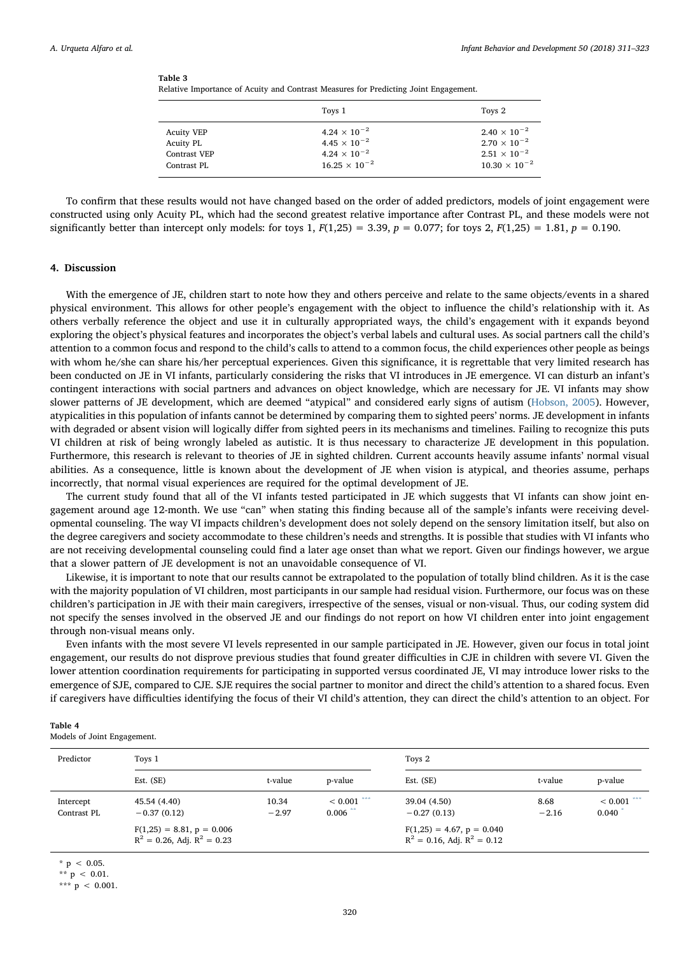<span id="page-9-0"></span>

| Table 3 |  |
|---------|--|
|---------|--|

Relative Importance of Acuity and Contrast Measures for Predicting Joint Engagement.

|                   | Toys 1                 | Toys 2                 |
|-------------------|------------------------|------------------------|
| <b>Acuity VEP</b> | $4.24 \times 10^{-2}$  | $2.40 \times 10^{-2}$  |
| Acuity PL         | $4.45 \times 10^{-2}$  | $2.70 \times 10^{-2}$  |
| Contrast VEP      | $4.24 \times 10^{-2}$  | $2.51 \times 10^{-2}$  |
| Contrast PL       | $16.25 \times 10^{-2}$ | $10.30 \times 10^{-2}$ |

To confirm that these results would not have changed based on the order of added predictors, models of joint engagement were constructed using only Acuity PL, which had the second greatest relative importance after Contrast PL, and these models were not significantly better than intercept only models: for toys 1,  $F(1,25) = 3.39$ ,  $p = 0.077$ ; for toys 2,  $F(1,25) = 1.81$ ,  $p = 0.190$ .

## 4. Discussion

With the emergence of JE, children start to note how they and others perceive and relate to the same objects/events in a shared physical environment. This allows for other people's engagement with the object to influence the child's relationship with it. As others verbally reference the object and use it in culturally appropriated ways, the child's engagement with it expands beyond exploring the object's physical features and incorporates the object's verbal labels and cultural uses. As social partners call the child's attention to a common focus and respond to the child's calls to attend to a common focus, the child experiences other people as beings with whom he/she can share his/her perceptual experiences. Given this significance, it is regrettable that very limited research has been conducted on JE in VI infants, particularly considering the risks that VI introduces in JE emergence. VI can disturb an infant's contingent interactions with social partners and advances on object knowledge, which are necessary for JE. VI infants may show slower patterns of JE development, which are deemed "atypical" and considered early signs of autism [\(Hobson, 2005](#page-11-17)). However, atypicalities in this population of infants cannot be determined by comparing them to sighted peers' norms. JE development in infants with degraded or absent vision will logically differ from sighted peers in its mechanisms and timelines. Failing to recognize this puts VI children at risk of being wrongly labeled as autistic. It is thus necessary to characterize JE development in this population. Furthermore, this research is relevant to theories of JE in sighted children. Current accounts heavily assume infants' normal visual abilities. As a consequence, little is known about the development of JE when vision is atypical, and theories assume, perhaps incorrectly, that normal visual experiences are required for the optimal development of JE.

The current study found that all of the VI infants tested participated in JE which suggests that VI infants can show joint engagement around age 12-month. We use "can" when stating this finding because all of the sample's infants were receiving developmental counseling. The way VI impacts children's development does not solely depend on the sensory limitation itself, but also on the degree caregivers and society accommodate to these children's needs and strengths. It is possible that studies with VI infants who are not receiving developmental counseling could find a later age onset than what we report. Given our findings however, we argue that a slower pattern of JE development is not an unavoidable consequence of VI.

Likewise, it is important to note that our results cannot be extrapolated to the population of totally blind children. As it is the case with the majority population of VI children, most participants in our sample had residual vision. Furthermore, our focus was on these children's participation in JE with their main caregivers, irrespective of the senses, visual or non-visual. Thus, our coding system did not specify the senses involved in the observed JE and our findings do not report on how VI children enter into joint engagement through non-visual means only.

Even infants with the most severe VI levels represented in our sample participated in JE. However, given our focus in total joint engagement, our results do not disprove previous studies that found greater difficulties in CJE in children with severe VI. Given the lower attention coordination requirements for participating in supported versus coordinated JE, VI may introduce lower risks to the emergence of SJE, compared to CJE. SJE requires the social partner to monitor and direct the child's attention to a shared focus. Even if caregivers have difficulties identifying the focus of their VI child's attention, they can direct the child's attention to an object. For

#### <span id="page-9-1"></span>Table 4

Models of Joint Engagement.

| Predictor                | Toys 1                                                       |                  | Toys 2                                            |                                                              |                 |                                   |
|--------------------------|--------------------------------------------------------------|------------------|---------------------------------------------------|--------------------------------------------------------------|-----------------|-----------------------------------|
|                          | Est. (SE)                                                    | t-value          | p-value                                           | Est. (SE)                                                    | t-value         | p-value                           |
| Intercept<br>Contrast PL | 45.54 (4.40)<br>$-0.37(0.12)$<br>$F(1,25) = 8.81, p = 0.006$ | 10.34<br>$-2.97$ | $< 0.001$ <sup>***</sup><br>$0.006$ <sup>**</sup> | 39.04 (4.50)<br>$-0.27(0.13)$<br>$F(1,25) = 4.67, p = 0.040$ | 8.68<br>$-2.16$ | $< 0.001$ <sup>***</sup><br>0.040 |
|                          | $R^2 = 0.26$ , Adj. $R^2 = 0.23$                             |                  |                                                   | $R^2 = 0.16$ , Adj. $R^2 = 0.12$                             |                 |                                   |

<span id="page-9-4"></span> $p < 0.05$ .

<span id="page-9-3"></span> $x^*$  p < 0.01.

<span id="page-9-2"></span>\*\*\*  $p$  < 0.001.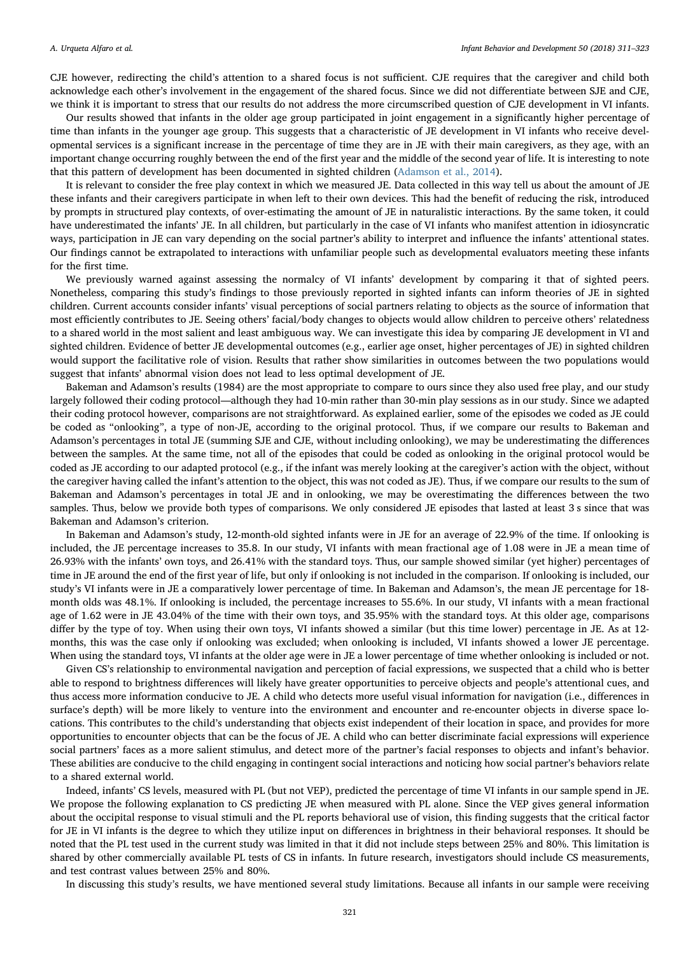CJE however, redirecting the child's attention to a shared focus is not sufficient. CJE requires that the caregiver and child both acknowledge each other's involvement in the engagement of the shared focus. Since we did not differentiate between SJE and CJE, we think it is important to stress that our results do not address the more circumscribed question of CJE development in VI infants.

Our results showed that infants in the older age group participated in joint engagement in a significantly higher percentage of time than infants in the younger age group. This suggests that a characteristic of JE development in VI infants who receive developmental services is a significant increase in the percentage of time they are in JE with their main caregivers, as they age, with an important change occurring roughly between the end of the first year and the middle of the second year of life. It is interesting to note that this pattern of development has been documented in sighted children ([Adamson et al., 2014\)](#page-11-20).

It is relevant to consider the free play context in which we measured JE. Data collected in this way tell us about the amount of JE these infants and their caregivers participate in when left to their own devices. This had the benefit of reducing the risk, introduced by prompts in structured play contexts, of over-estimating the amount of JE in naturalistic interactions. By the same token, it could have underestimated the infants' JE. In all children, but particularly in the case of VI infants who manifest attention in idiosyncratic ways, participation in JE can vary depending on the social partner's ability to interpret and influence the infants' attentional states. Our findings cannot be extrapolated to interactions with unfamiliar people such as developmental evaluators meeting these infants for the first time.

We previously warned against assessing the normalcy of VI infants' development by comparing it that of sighted peers. Nonetheless, comparing this study's findings to those previously reported in sighted infants can inform theories of JE in sighted children. Current accounts consider infants' visual perceptions of social partners relating to objects as the source of information that most efficiently contributes to JE. Seeing others' facial/body changes to objects would allow children to perceive others' relatedness to a shared world in the most salient and least ambiguous way. We can investigate this idea by comparing JE development in VI and sighted children. Evidence of better JE developmental outcomes (e.g., earlier age onset, higher percentages of JE) in sighted children would support the facilitative role of vision. Results that rather show similarities in outcomes between the two populations would suggest that infants' abnormal vision does not lead to less optimal development of JE.

Bakeman and Adamson's results (1984) are the most appropriate to compare to ours since they also used free play, and our study largely followed their coding protocol—although they had 10-min rather than 30-min play sessions as in our study. Since we adapted their coding protocol however, comparisons are not straightforward. As explained earlier, some of the episodes we coded as JE could be coded as "onlooking", a type of non-JE, according to the original protocol. Thus, if we compare our results to Bakeman and Adamson's percentages in total JE (summing SJE and CJE, without including onlooking), we may be underestimating the differences between the samples. At the same time, not all of the episodes that could be coded as onlooking in the original protocol would be coded as JE according to our adapted protocol (e.g., if the infant was merely looking at the caregiver's action with the object, without the caregiver having called the infant's attention to the object, this was not coded as JE). Thus, if we compare our results to the sum of Bakeman and Adamson's percentages in total JE and in onlooking, we may be overestimating the differences between the two samples. Thus, below we provide both types of comparisons. We only considered JE episodes that lasted at least 3 s since that was Bakeman and Adamson's criterion.

In Bakeman and Adamson's study, 12-month-old sighted infants were in JE for an average of 22.9% of the time. If onlooking is included, the JE percentage increases to 35.8. In our study, VI infants with mean fractional age of 1.08 were in JE a mean time of 26.93% with the infants' own toys, and 26.41% with the standard toys. Thus, our sample showed similar (yet higher) percentages of time in JE around the end of the first year of life, but only if onlooking is not included in the comparison. If onlooking is included, our study's VI infants were in JE a comparatively lower percentage of time. In Bakeman and Adamson's, the mean JE percentage for 18 month olds was 48.1%. If onlooking is included, the percentage increases to 55.6%. In our study, VI infants with a mean fractional age of 1.62 were in JE 43.04% of the time with their own toys, and 35.95% with the standard toys. At this older age, comparisons differ by the type of toy. When using their own toys, VI infants showed a similar (but this time lower) percentage in JE. As at 12 months, this was the case only if onlooking was excluded; when onlooking is included, VI infants showed a lower JE percentage. When using the standard toys, VI infants at the older age were in JE a lower percentage of time whether onlooking is included or not.

Given CS's relationship to environmental navigation and perception of facial expressions, we suspected that a child who is better able to respond to brightness differences will likely have greater opportunities to perceive objects and people's attentional cues, and thus access more information conducive to JE. A child who detects more useful visual information for navigation (i.e., differences in surface's depth) will be more likely to venture into the environment and encounter and re-encounter objects in diverse space locations. This contributes to the child's understanding that objects exist independent of their location in space, and provides for more opportunities to encounter objects that can be the focus of JE. A child who can better discriminate facial expressions will experience social partners' faces as a more salient stimulus, and detect more of the partner's facial responses to objects and infant's behavior. These abilities are conducive to the child engaging in contingent social interactions and noticing how social partner's behaviors relate to a shared external world.

Indeed, infants' CS levels, measured with PL (but not VEP), predicted the percentage of time VI infants in our sample spend in JE. We propose the following explanation to CS predicting JE when measured with PL alone. Since the VEP gives general information about the occipital response to visual stimuli and the PL reports behavioral use of vision, this finding suggests that the critical factor for JE in VI infants is the degree to which they utilize input on differences in brightness in their behavioral responses. It should be noted that the PL test used in the current study was limited in that it did not include steps between 25% and 80%. This limitation is shared by other commercially available PL tests of CS in infants. In future research, investigators should include CS measurements, and test contrast values between 25% and 80%.

In discussing this study's results, we have mentioned several study limitations. Because all infants in our sample were receiving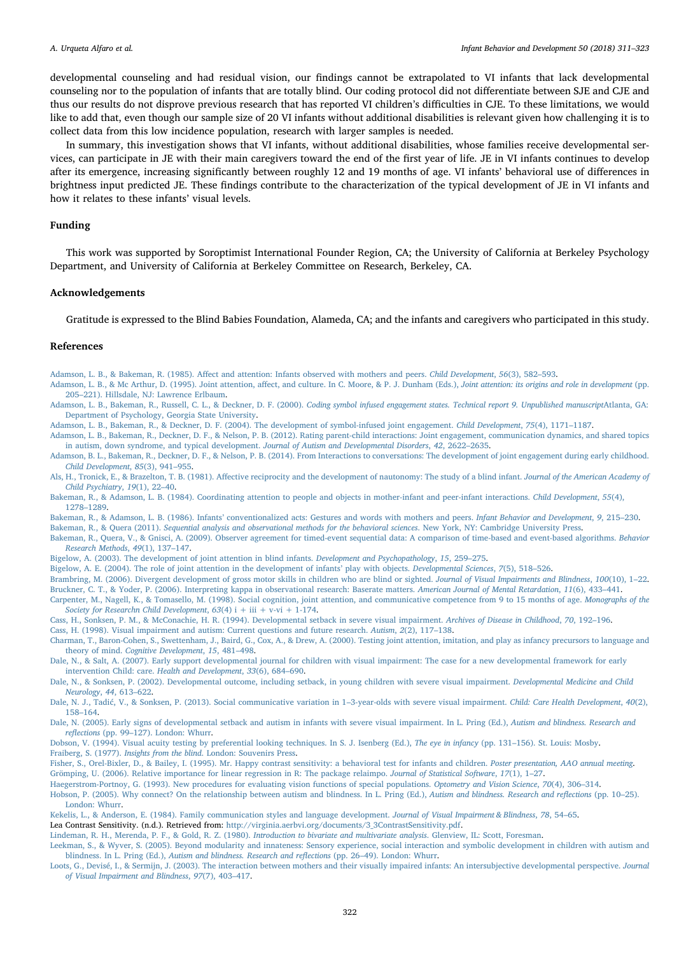developmental counseling and had residual vision, our findings cannot be extrapolated to VI infants that lack developmental counseling nor to the population of infants that are totally blind. Our coding protocol did not differentiate between SJE and CJE and thus our results do not disprove previous research that has reported VI children's difficulties in CJE. To these limitations, we would like to add that, even though our sample size of 20 VI infants without additional disabilities is relevant given how challenging it is to collect data from this low incidence population, research with larger samples is needed.

In summary, this investigation shows that VI infants, without additional disabilities, whose families receive developmental services, can participate in JE with their main caregivers toward the end of the first year of life. JE in VI infants continues to develop after its emergence, increasing significantly between roughly 12 and 19 months of age. VI infants' behavioral use of differences in brightness input predicted JE. These findings contribute to the characterization of the typical development of JE in VI infants and how it relates to these infants' visual levels.

## Funding

This work was supported by Soroptimist International Founder Region, CA; the University of California at Berkeley Psychology Department, and University of California at Berkeley Committee on Research, Berkeley, CA.

## Acknowledgements

Gratitude is expressed to the Blind Babies Foundation, Alameda, CA; and the infants and caregivers who participated in this study.

#### References

<span id="page-11-18"></span>Adamson, L. B., & Bakeman, R. (1985). Aff[ect and attention: Infants observed with mothers and peers.](http://refhub.elsevier.com/S0163-6383(17)30034-6/sbref0005) Child Development, 56(3), 582–593.

- <span id="page-11-7"></span>[Adamson, L. B., & Mc Arthur, D. \(1995\). Joint attention, a](http://refhub.elsevier.com/S0163-6383(17)30034-6/sbref0010)ffect, and culture. In C. Moore, & P. J. Dunham (Eds.), Joint attention: its origins and role in development (pp. 205–[221\). Hillsdale, NJ: Lawrence Erlbaum](http://refhub.elsevier.com/S0163-6383(17)30034-6/sbref0010).
- <span id="page-11-22"></span>Adamson, L. B., Bakeman, R., Russell, C. L., & Deckner, D. F. (2000). [Coding symbol infused engagement states. Technical report 9. Unpublished manuscript](http://refhub.elsevier.com/S0163-6383(17)30034-6/sbref0015)Atlanta, GA: [Department of Psychology, Georgia State University](http://refhub.elsevier.com/S0163-6383(17)30034-6/sbref0015).
- <span id="page-11-4"></span>[Adamson, L. B., Bakeman, R., & Deckner, D. F. \(2004\). The development of symbol-infused joint engagement.](http://refhub.elsevier.com/S0163-6383(17)30034-6/sbref0020) Child Development, 75(4), 1171–1187.
- <span id="page-11-3"></span>[Adamson, L. B., Bakeman, R., Deckner, D. F., & Nelson, P. B. \(2012\). Rating parent-child interactions: Joint engagement, communication dynamics, and shared topics](http://refhub.elsevier.com/S0163-6383(17)30034-6/sbref0025) [in autism, down syndrome, and typical development.](http://refhub.elsevier.com/S0163-6383(17)30034-6/sbref0025) Journal of Autism and Developmental Disorders, 42, 2622–2635.
- <span id="page-11-20"></span>[Adamson, B. L., Bakeman, R., Deckner, D. F., & Nelson, P. B. \(2014\). From Interactions to conversations: The development of joint engagement during early childhood.](http://refhub.elsevier.com/S0163-6383(17)30034-6/sbref0030) [Child Development](http://refhub.elsevier.com/S0163-6383(17)30034-6/sbref0030), 85(3), 941–955.
- <span id="page-11-10"></span>Als, H., Tronick, E., & Brazelton, T. B. (1981). Aff[ective reciprocity and the development of nautonomy: The study of a blind infant.](http://refhub.elsevier.com/S0163-6383(17)30034-6/sbref0035) Journal of the American Academy of [Child Psychiatry](http://refhub.elsevier.com/S0163-6383(17)30034-6/sbref0035), 19(1), 22–40.
- <span id="page-11-0"></span>[Bakeman, R., & Adamson, L. B. \(1984\). Coordinating attention to people and objects in mother-infant and peer-infant interactions.](http://refhub.elsevier.com/S0163-6383(17)30034-6/sbref0040) Child Development, 55(4), 1278–[1289.](http://refhub.elsevier.com/S0163-6383(17)30034-6/sbref0040)

Bakeman, R., & Adamson, L. B. (1986). Infants' [conventionalized acts: Gestures and words with mothers and peers.](http://refhub.elsevier.com/S0163-6383(17)30034-6/sbref0045) Infant Behavior and Development, 9, 215–230.

<span id="page-11-23"></span>Bakeman, R., & Quera (2011). [Sequential analysis and observational methods for the behavioral sciences](http://refhub.elsevier.com/S0163-6383(17)30034-6/sbref0050). New York, NY: Cambridge University Press.

- <span id="page-11-26"></span>[Bakeman, R., Quera, V., & Gnisci, A. \(2009\). Observer agreement for timed-event sequential data: A comparison of time-based and event-based algorithms.](http://refhub.elsevier.com/S0163-6383(17)30034-6/sbref0055) Behavior [Research Methods](http://refhub.elsevier.com/S0163-6383(17)30034-6/sbref0055), 49(1), 137–147.
- <span id="page-11-2"></span>[Bigelow, A. \(2003\). The development of joint attention in blind infants.](http://refhub.elsevier.com/S0163-6383(17)30034-6/sbref0060) Development and Psychopathology, 15, 259–275.
- <span id="page-11-5"></span>Bigelow, [A. E. \(2004\). The role of joint attention in the development of infants](http://refhub.elsevier.com/S0163-6383(17)30034-6/sbref0065)' play with objects. Developmental Sciences, 7(5), 518–526.
- <span id="page-11-27"></span><span id="page-11-12"></span>[Brambring, M. \(2006\). Divergent development of gross motor skills in children who are blind or sighted.](http://refhub.elsevier.com/S0163-6383(17)30034-6/sbref0070) Journal of Visual Impairments and Blindness, 100(10), 1–22. [Bruckner, C. T., & Yoder, P. \(2006\). Interpreting kappa in observational research: Baserate matters.](http://refhub.elsevier.com/S0163-6383(17)30034-6/sbref0075) American Journal of Mental Retardation, 11(6), 433–441.
- <span id="page-11-1"></span>[Carpenter, M., Nagell, K., & Tomasello, M. \(1998\). Social cognition, joint attention, and communicative competence from 9 to 15 months of age.](http://refhub.elsevier.com/S0163-6383(17)30034-6/sbref0080) Monographs of the [Society for Researchn Child Development](http://refhub.elsevier.com/S0163-6383(17)30034-6/sbref0080),  $63(4)$  i + iii + v-vi + 1-174.
- <span id="page-11-15"></span>[Cass, H., Sonksen, P. M., & McConachie, H. R. \(1994\). Developmental setback in severe visual impairment.](http://refhub.elsevier.com/S0163-6383(17)30034-6/sbref0085) Archives of Disease in Childhood, 70, 192–196.
- <span id="page-11-8"></span><span id="page-11-6"></span>[Cass, H. \(1998\). Visual impairment and autism: Current questions and future research.](http://refhub.elsevier.com/S0163-6383(17)30034-6/sbref0090) Autism, 2(2), 117–138. [Charman, T., Baron-Cohen, S., Swettenham, J., Baird, G., Cox, A., & Drew, A. \(2000\). Testing joint attention, imitation, and play as infancy precursors to language and](http://refhub.elsevier.com/S0163-6383(17)30034-6/sbref0095) theory of mind. [Cognitive Development](http://refhub.elsevier.com/S0163-6383(17)30034-6/sbref0095), 15, 481–498.
- <span id="page-11-13"></span>[Dale, N., & Salt, A. \(2007\). Early support developmental journal for children with visual impairment: The case for a new developmental framework for early](http://refhub.elsevier.com/S0163-6383(17)30034-6/sbref0100) [intervention Child: care.](http://refhub.elsevier.com/S0163-6383(17)30034-6/sbref0100) Health and Development, 33(6), 684–690.
- [Dale, N., & Sonksen, P. \(2002\). Developmental outcome, including setback, in young children with severe visual impairment.](http://refhub.elsevier.com/S0163-6383(17)30034-6/sbref0105) Developmental Medicine and Child [Neurology](http://refhub.elsevier.com/S0163-6383(17)30034-6/sbref0105), 44, 613–622.
- <span id="page-11-14"></span>Dale, N. J., Tadić[, V., & Sonksen, P. \(2013\). Social communicative variation in 1](http://refhub.elsevier.com/S0163-6383(17)30034-6/sbref0110)–3-year-olds with severe visual impairment. Child: Care Health Development, 40(2), 158–[164.](http://refhub.elsevier.com/S0163-6383(17)30034-6/sbref0110)
- <span id="page-11-16"></span>[Dale, N. \(2005\). Early signs of developmental setback and autism in infants with severe visual impairment. In L. Pring \(Ed.\),](http://refhub.elsevier.com/S0163-6383(17)30034-6/sbref0115) Autism and blindness. Research and reflections (pp. 99–[127\). London: Whurr](http://refhub.elsevier.com/S0163-6383(17)30034-6/sbref0115).
- <span id="page-11-24"></span><span id="page-11-9"></span>Dobson, [V. \(1994\). Visual acuity testing by preferential looking techniques. In S. J. Isenberg \(Ed.\),](http://refhub.elsevier.com/S0163-6383(17)30034-6/sbref0120) The eye in infancy (pp. 131–156). St. Louis: Mosby. Fraiberg, S. (1977). Insights from the blind[. London: Souvenirs Press.](http://refhub.elsevier.com/S0163-6383(17)30034-6/sbref0125)
- <span id="page-11-30"></span><span id="page-11-28"></span>[Fisher, S., Orel-Bixler, D., & Bailey, I. \(1995\). Mr. Happy contrast sensitivity: a behavioral test for infants and children.](http://refhub.elsevier.com/S0163-6383(17)30034-6/sbref0130) Poster presentation, AAO annual meeting. [Grömping, U. \(2006\). Relative importance for linear regression in R: The package relaimpo.](http://refhub.elsevier.com/S0163-6383(17)30034-6/sbref0135) Journal of Statistical Software, 17(1), 1–27.
- <span id="page-11-25"></span>[Haegerstrom-Portnoy, G. \(1993\). New procedures for evaluating vision functions of special populations.](http://refhub.elsevier.com/S0163-6383(17)30034-6/sbref0140) Optometry and Vision Science, 70(4), 306–314.
- <span id="page-11-17"></span>[Hobson, P. \(2005\). Why connect? On the relationship between autism and blindness. In L. Pring \(Ed.\),](http://refhub.elsevier.com/S0163-6383(17)30034-6/sbref0145) Autism and blindness. Research and reflections (pp. 10-25). [London: Whurr](http://refhub.elsevier.com/S0163-6383(17)30034-6/sbref0145).
- <span id="page-11-21"></span>[Kekelis, L., & Anderson, E. \(1984\). Family communication styles and language development.](http://refhub.elsevier.com/S0163-6383(17)30034-6/sbref0150) Journal of Visual Impairment & Blindness, 78, 54–65. Lea Contrast Sensitivity. (n.d.). Retrieved from: [http://virginia.aerbvi.org/documents/3\\_3ContrastSensitivity.pdf](http://virginia.aerbvi.org/documents/3_3ContrastSensitivity.pdf).
- <span id="page-11-29"></span>[Lindeman, R. H., Merenda, P. F., & Gold, R. Z. \(1980\).](http://refhub.elsevier.com/S0163-6383(17)30034-6/sbref0160) Introduction to bivariate and multivariate analysis. Glenview, IL: Scott, Foresman.
- <span id="page-11-19"></span>[Leekman, S., & Wyver, S. \(2005\). Beyond modularity and innateness: Sensory experience, social interaction and symbolic development in children with autism and](http://refhub.elsevier.com/S0163-6383(17)30034-6/sbref0165) blindness. In L. Pring (Ed.), [Autism and blindness. Research and re](http://refhub.elsevier.com/S0163-6383(17)30034-6/sbref0165)flections (pp. 26–49). London: Whurr.
- <span id="page-11-11"></span>[Loots, G., Devisé, I., & Sermijn, J. \(2003\). The interaction between mothers and their visually impaired infants: An intersubjective developmental perspective.](http://refhub.elsevier.com/S0163-6383(17)30034-6/sbref0170) Journal [of Visual Impairment and Blindness](http://refhub.elsevier.com/S0163-6383(17)30034-6/sbref0170), 97(7), 403–417.